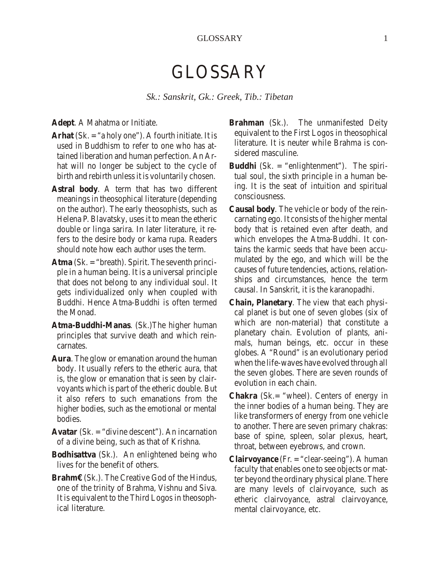## GLOSSARY

*Sk.: San skrit, Gk.: Greek, Tib.: Ti betan*

Adept. A Mahatma or Initiate.

- Arhat (Sk. = "a holy one"). A fourth initiate. It is used in Buddhism to refer to one who has attained liberation and human perfection. An Arhat will no longer be subject to the cycle of birth and rebirth unless it is voluntarily chosen.
- Astral body. A term that has two different meanings in theosophical literature (depending on the author). The early the osophists, such as Helena P. Blavatsky, uses it to mean the etheric double or linga sarira. In later literature, it refers to the desire body or kama rupa. Readers should note how each author uses the term.
- Atma (Sk. = "breath). Spirit. The seventh principle in a human being. It is a universal principle that does not belong to any individual soul. It gets individualized only when coupled with Buddhi. Hence Atma-Buddhi is often termed the Monad.
- Atma-Buddhi-Manas. (Sk.) The higher human principles that survive death and which reincarnates.
- Aura. The glow or emanation around the human body. It usually refers to the etheric aura, that is, the glow or emanation that is seen by clairvoyants which is part of the etheric double. But it also refers to such emanations from the higher bodies, such as the emotional or mental bodies.
- Avatar (Sk. = "divine descent"). An incarnation of a divine being, such as that of Krishna.
- Bodhisattva (Sk.). An enlightened being who lives for the benefit of others.
- Brahm€ (Sk.). The Creative God of the Hindus, one of the trinity of Brahma, Vishnu and Siva. It is equivalent to the Third Logos in theosophical literature.
- Brahman (Sk.). The unmanifested Deity equivalent to the First Logos in theosophical literature. It is neuter while Brahma is considered masculine.
- Buddhi (Sk. = "enlightenment"). The spiritual soul, the sixth principle in a human being. It is the seat of intuition and spiritual consciousness.
- Causal body. The vehicle or body of the reincarnating ego. It consists of the higher mental body that is retained even after death, and which envelopes the Atma-Buddhi. It contains the karmic seeds that have been accumulated by the ego, and which will be the causes of future tendencies, actions, relationships and circum stances, hence the term causal. In Sanskrit, it is the karanopadhi.
- Chain, Planetary. The view that each physical planet is but one of seven globes (six of which are non-material) that constitute a planetary chain. Evolution of plants, animals, human beings, etc. occur in these globes. A "Round" is an evolutionary period when the life-waves have evolved through all the seven globes. There are seven rounds of evolution in each chain.
- Chakra (Sk.= "wheel). Centers of energy in the inner bodies of a human being. They are like transformers of energy from one vehicle to another. There are seven primary chakras: base of spine, spleen, solar plexus, heart, throat, between eyebrows, and crown.
- Clairvoyance (Fr. = "clear-seeing"). A human faculty that enables one to see objects or matter beyond the ordinary physical plane. There are many levels of clairvoyance, such as etheric clairvoyance, astral clairvoyance, mental clair voy ance, etc.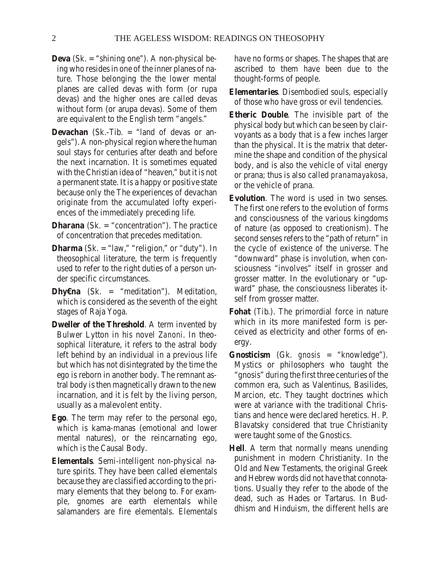- Deva (Sk. = "shining one"). A non-physical being who resides in one of the inner planes of nature. Those belonging the the lower mental planes are called devas with form (or rupa devas) and the higher ones are called devas without form (or arupa devas). Some of them are equivalent to the English term "angels."
- Devachan (Sk.-Tib. = "land of devas or angels"). A non-physical region where the human soul stays for centuries after death and before the next incarnation. It is sometimes equated with the Christian idea of "heaven," but it is not a permanent state. It is a happy or positive state because only the The experiences of devachan originate from the accumulated lofty experiences of the immediately preceding life.
- Dharana  $(Sk. = "concentration")$ . The practice of concentration that precedes meditation.
- Dharma (Sk. = "law," "religion," or "duty"). In theosophical literature, the term is frequently used to refer to the right duties of a person under specific circum stances.
- **Dhy**€na (Sk. = "meditation"). Meditation, which is considered as the seventh of the eight stages of Raja Yoga.
- Dweller of the Threshold. A term invented by Bulwer Lytton in his novel Zanoni. In theosophical literature, it refers to the astral body left behind by an individual in a previous life but which has not disintegrated by the time the ego is reborn in another body. The remnant astral body is then magnetically drawn to the new incarnation, and it is felt by the living person, usually as a malevolent entity.
- Ego. The term may refer to the personal ego, which is kama-manas (emotional and lower mental natures), or the reincarnating ego, which is the Causal Body.
- Elementals. Semi-intelligent non-physical nature spirits. They have been called elementals because they are classified according to the primary elements that they belong to. For example, gnomes are earth elementals while salamanders are fire elementals. Elementals

have no forms or shapes. The shapes that are ascribed to them have been due to the thought-forms of people.

- **Elementaries. Disembodied souls, especially** of those who have gross or evil tendencies.
- Etheric Double. The invisible part of the physical body but which can be seen by clairvoyants as a body that is a few inches larger than the physical. It is the matrix that determine the shape and condition of the physical body, and is also the vehicle of vital energy or prana; thus is also called *pranamayakosa*, or the vehicle of prana.
- Evolution. The word is used in two senses. The first one refers to the evolution of forms and consciousness of the various kingdoms of nature (as opposed to creationism). The second senses refers to the "path of return" in the cycle of existence of the universe. The "downward" phase is involution, when consciousness "involves" itself in grosser and grosser matter. In the evolutionary or "upward" phase, the consciousness liberates itself from grosser matter.
- Fohat (Tib.). The primordial force in nature which in its more manifested form is perceived as electricity and other forms of energy.
- Gnosticism (Gk. gnosis = "knowledge"). Mystics or philosophers who taught the "gnosis" during the first three centuries of the common era, such as Valentinus, Basilides, Marcion, etc. They taught doctrines which were at variance with the traditional Christians and hence were declared heretics. H. P. Blavatsky considered that true Christianity were taught some of the Gnostics.
- Hell. A term that normally means unending punishment in modern Christianity. In the Old and New Testaments, the original Greek and Hebrew words did not have that connotations. Usually they refer to the abode of the dead, such as Hades or Tartarus. In Buddhism and Hinduism, the different hells are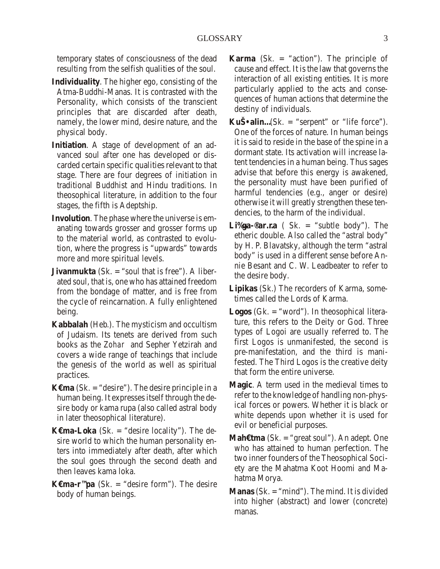temporary states of consciousness of the dead re sulting from the selfish qualities of the soul.

- Individuality. The higher ego, consisting of the Atma-Buddhi-Manas. It is contrasted with the Personality, which consists of the transcient principles that are discarded after death, namely, the lower mind, desire nature, and the physical body.
- Initiation. A stage of development of an advanced soul after one has developed or discarded certain specific qualities relevant to that stage. There are four degrees of initiation in traditional Buddhist and Hindu traditions. In theosophical literature, in addition to the four stages, the fifth is Adeptship.
- Involution. The phase where the universe is emanating towards grosser and grosser forms up to the material world, as contrasted to evolution, where the progress is "upwards" towards more and more spiritual levels.
- Jivanmukta (Sk. = "soul that is free"). A liberated soul, that is, one who has attained freedom from the bondage of matter, and is free from the cycle of reincarnation. A fully enlightened be ing.
- Kabbalah (Heb.). The mysticism and occultism of Judaism. Its tenets are derived from such books as the *Zohar* and Sepher Yetzirah and covers a wide range of teachings that include the genesis of the world as well as spiritual practices.
- **K**€ma (Sk. = "desire"). The desire principle in a human being. It expresses itself through the desire body or kama rupa (also called astral body in later theosophical literature).
- $K \in \mathbb{R}$  The desketa CSK. = "desire locality"). The desire world to which the human personality enters into immediately after death, after which the soul goes through the second death and then leaves kama loka.
- K€ma-r<sup>™</sup>pa (Sk. = "desire form"). The desire body of human beings.
- Karma (Sk.  $=$  "action"). The principle of cause and effect. It is the law that governs the interaction of all existing entities. It is more particularly applied to the acts and consequences of human actions that determine the destiny of individuals.
- KuЕalin... (Sk. = "serpent" or "life force"). One of the forces of nature. In human beings it is said to reside in the base of the spine in a dormant state. Its activation will increase latent tendencies in a human being. Thus sages advise that before this energy is awakened, the personality must have been purified of harm ful tendencies (e.g., anger or desire) otherwise it will greatly strengthen these tendencies, to the harm of the individual.
- Li‰ga-<sup>®</sup>ar…ra ( Sk. = "subtle body"). The etheric double. Also called the "astral body" by H. P. Blavatsky, although the term "astral body" is used in a different sense before Annie Besant and C. W. Leadbeater to refer to the desire body.
- Lipikas (Sk.) The recorders of Karma, sometimes called the Lords of Karma.
- Logos (Gk. = "word"). In theosophical literature, this refers to the Deity or God. Three types of Logoi are usually referred to. The first Logos is unmanifested, the second is pre-manifestation, and the third is manifested. The Third Logos is the creative deity that form the entire universe.
- Magic. A term used in the medieval times to refer to the knowledge of handling non-physical forces or powers. Whether it is black or white depends upon whether it is used for evil or beneficial purposes.
- Mah€tma (Sk. = "great soul"). An adept. One who has attained to human perfection. The two inner founders of the Theosophical Society are the Mahatma Koot Hoomi and Mahatma Morya.
- Manas (Sk. = "mind"). The mind. It is divided into higher (abstract) and lower (concrete) manas.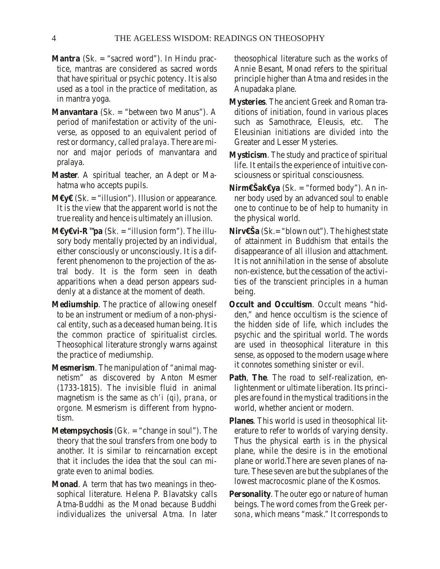- Mantra (Sk. = "sacred word"). In Hindu practice, mantras are considered as sacred words that have spiritual or psychic potency. It is also used as a tool in the practice of meditation, as in mantra yoga.
- Manvantara (Sk. = "between two Manus"). A period of manifestation or activity of the universe, as opposed to an equivalent period of rest or dormancy, called pralaya. There are minor and major periods of manvantara and pralaya.
- Master. A spiritual teacher, an Adept or Mahatma who accepts pupils.
- M€y€ (Sk. = "illusion"). Illusion or appearance. It is the view that the apparent world is not the true reality and hence is ultimately an illusion.
- M€y€vi-R<sup>™</sup>pa (Sk. = "illusion form"). The illusory body mentally projected by an individual, either consciously or unconsciously. It is a different phenomenon to the projection of the astral body. It is the form seen in death apparitions when a dead person appears suddenly at a distance at the moment of death.
- Mediumship. The practice of allowing oneself to be an instrument or medium of a non-physical entity, such as a deceased human being. It is the common practice of spiritualist circles. Theosophical literature strongly warns against the practice of mediumship.
- Mesmer ism. The manipulation of "animal magnetism" as discovered by Anton Mesmer  $(1733-1815)$ . The invisible fluid in animal magnetism is the same as *ch'i* (qi), prana, or orgone. Mesmerism is different from hypnotism.
- Metempsychosis (Gk. = "change in soul"). The theory that the soul transfers from one body to another. It is similar to reincarnation except that it includes the idea that the soul can migrate even to animal bodies.
- Monad. A term that has two meanings in theosophical literature. Helena P. Blavatsky calls Atma-Buddhi as the Monad because Buddhi individualizes the universal Atma. In later

theosophical literature such as the works of Annie Besant, Monad refers to the spiritual principle higher than Atma and resides in the Anupadaka plane.

- **Mysteries. The ancient Greek and Roman tra**ditions of initiation, found in various places such as Samothrace, Eleusis, etc. The Eleusinian initiations are divided into the Greater and Lesser Mysteries.
- Mysticism. The study and practice of spiritual life. It entails the experience of intuitive consciousness or spiritual consciousness.
- **Nirm€Šak€ya** (Sk. = "formed body"). An in ner body used by an advanced soul to enable one to continue to be of help to humanity in the physical world.
- Nirv€Ša (Sk.= "blown out"). The highest state of attainment in Buddhism that entails the dis appearance of all illusion and attachment. It is not annihilation in the sense of absolute non-existence, but the cessation of the activities of the transcient principles in a human be ing.
- **Occult and Occultism. Occult means "hid**den," and hence occultism is the science of the hidden side of life, which includes the psychic and the spiritual world. The words are used in theosophical literature in this sense, as opposed to the modern usage where it connotes something sinister or evil.
- Path, The. The road to self-realization, enlightenment or ultimate liberation. Its principles are found in the mystical traditions in the world, whether ancient or modern.
- Planes. This world is used in theosophical literature to refer to worlds of varying density. Thus the physical earth is in the physical plane, while the desire is in the emotional plane or world. There are seven planes of nature. These seven are but the subplanes of the lowest macrocosmic plane of the Kosmos.
- Per sonality. The outer ego or nature of human be ings. The word co mes from the Greek *per*  sona, which means "mask." It corresponds to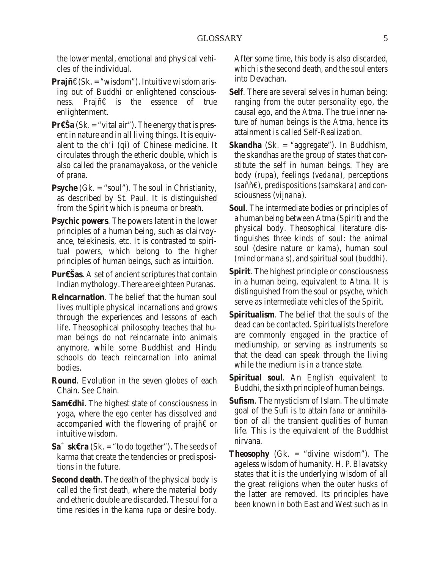the lower mental, emotional and physical vehicles of the individual.

- Prajñ€ (Sk. = "wisdom"). Intuitive wisdom arising out of Buddhi or enlightened consciousness. Prajñ€ is the essence of true enlighten ment.
- $Pr \in \text{Sa } (Sk. = "vital air").$  The energy that is present in nature and in all living things. It is equivalent to the ch'i (qi) of Chinese medicine. It circulates through the etheric double, which is also called the pranamayakosa, or the vehicle of prana.
- Psyche (Gk. = "soul"). The soul in Christianity, as described by St. Paul. It is distinguished from the Spirit which is *pneuma* or breath.
- Psychic powers. The powers latent in the lower principles of a human being, such as clairvoyance, telekinesis, etc. It is contrasted to spiritual powers, which belong to the higher principles of human beings, such as intuition.
- **Pur€Šas. A set of ancient scriptures that contain** Indian mythology. There are eighteen Puranas.
- Reincarnation. The belief that the human soul lives multiple physical incarnations and grows through the experiences and lessons of each life. Theosophical philosophy teaches that human beings do not reincarnate into animals anymore, while some Buddhist and Hindu schools do teach reincarnation into animal bodies.
- Round. Evolution in the seven globes of each Chain. See Chain.
- Sam€dhi. The highest state of consciousness in yoga, where the ego center has dissolved and accompanied with the flowering of prajñ€ or intuitive wisdom.
- $Sa<sup>~</sup>$  sk $Era$  (Sk. = "to do together"). The seeds of karma that create the tendencies or predispositions in the future.
- Second death. The death of the physical body is called the first death, where the material body and etheric double are discarded. The soul for a time resides in the kama rupa or desire body.

After some time, this body is also discarded, which is the second death, and the soul enters into Devachan.

- Self. There are several selves in human being: ranging from the outer personality ego, the causal ego, and the Atma. The true inner nature of human beings is the Atma, hence its attainment is called Self-Realization.
- Skandha (Sk. = "aggregate"). In Buddhism, the skandhas are the group of states that constitute the self in human beings. They are body (rupa), feelings (vedana), perceptions (saññ€), predispositions (samskara) and consciousness (vijnana).
- Soul. The intermediate bodies or principles of a human being between Atma (Spirit) and the physical body. Theosophical literature distinguishes three kinds of soul: the animal soul (desire nature or kama), human soul (mind or mana s), and spiritual soul (buddhi).
- Spirit. The highest principle or consciousness in a human being, equivalent to Atma. It is distinguished from the soul or *psyche*, which serve as intermediate vehicles of the Spirit.
- Spiritualism. The belief that the souls of the dead can be contacted. Spiritualists therefore are commonly engaged in the practice of mediumship, or serving as instruments so that the dead can speak through the living while the medium is in a trance state.
- Spiritual soul. An English equivalent to Buddhi, the sixth principle of human beings.
- Sufism. The mysticism of Islam. The ultimate goal of the Sufi is to attain fana or annihilation of all the transient qualities of human life. This is the equivalent of the Buddhist nir vana.
- The osophy (Gk. = "divine wisdom"). The ageless wisdom of humanity. H. P. Blavatsky states that it is the underlying wisdom of all the great religions when the outer husks of the latter are removed. Its principles have been known in both East and West such as in